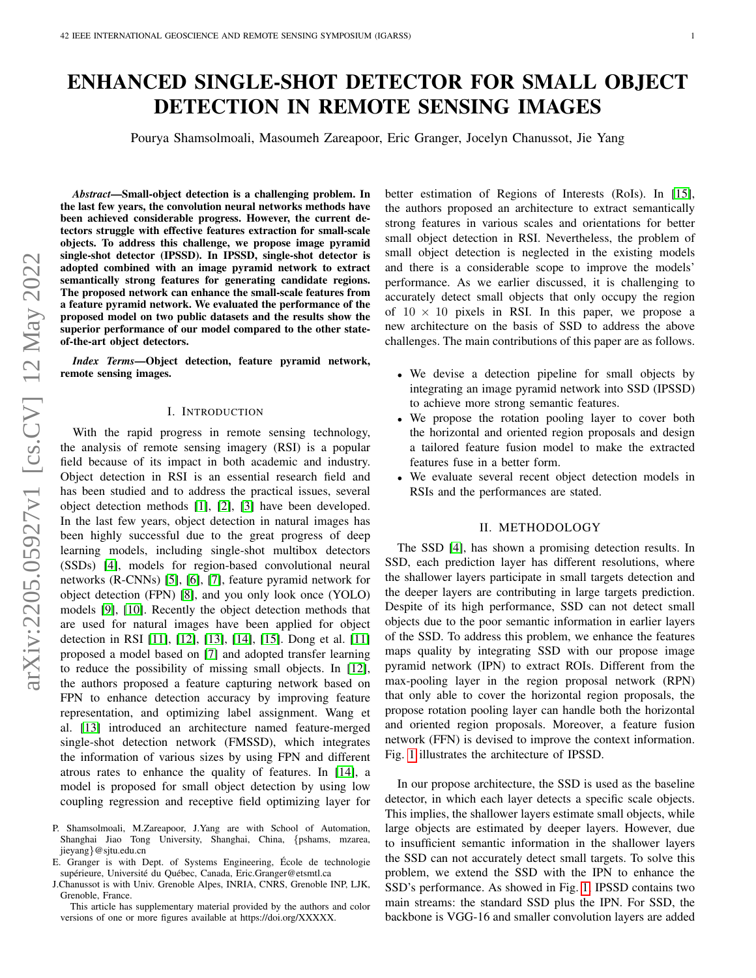# ENHANCED SINGLE-SHOT DETECTOR FOR SMALL OBJECT DETECTION IN REMOTE SENSING IMAGES

Pourya Shamsolmoali, Masoumeh Zareapoor, Eric Granger, Jocelyn Chanussot, Jie Yang

*Abstract*—Small-object detection is a challenging problem. In the last few years, the convolution neural networks methods have been achieved considerable progress. However, the current detectors struggle with effective features extraction for small-scale objects. To address this challenge, we propose image pyramid single-shot detector (IPSSD). In IPSSD, single-shot detector is adopted combined with an image pyramid network to extract semantically strong features for generating candidate regions. The proposed network can enhance the small-scale features from a feature pyramid network. We evaluated the performance of the proposed model on two public datasets and the results show the superior performance of our model compared to the other stateof-the-art object detectors.

*Index Terms*—Object detection, feature pyramid network, remote sensing images.

#### I. INTRODUCTION

With the rapid progress in remote sensing technology, the analysis of remote sensing imagery (RSI) is a popular field because of its impact in both academic and industry. Object detection in RSI is an essential research field and has been studied and to address the practical issues, several object detection methods [\[1\]](#page-3-0), [\[2\]](#page-3-1), [\[3\]](#page-3-2) have been developed. In the last few years, object detection in natural images has been highly successful due to the great progress of deep learning models, including single-shot multibox detectors (SSDs) [\[4\]](#page-3-3), models for region-based convolutional neural networks (R-CNNs) [\[5\]](#page-3-4), [\[6\]](#page-3-5), [\[7\]](#page-3-6), feature pyramid network for object detection (FPN) [\[8\]](#page-3-7), and you only look once (YOLO) models [\[9\]](#page-3-8), [\[10\]](#page-3-9). Recently the object detection methods that are used for natural images have been applied for object detection in RSI [\[11\]](#page-3-10), [\[12\]](#page-3-11), [\[13\]](#page-3-12), [\[14\]](#page-3-13), [\[15\]](#page-3-14). Dong et al. [\[11\]](#page-3-10) proposed a model based on [\[7\]](#page-3-6) and adopted transfer learning to reduce the possibility of missing small objects. In [\[12\]](#page-3-11), the authors proposed a feature capturing network based on FPN to enhance detection accuracy by improving feature representation, and optimizing label assignment. Wang et al. [\[13\]](#page-3-12) introduced an architecture named feature-merged single-shot detection network (FMSSD), which integrates the information of various sizes by using FPN and different atrous rates to enhance the quality of features. In [\[14\]](#page-3-13), a model is proposed for small object detection by using low coupling regression and receptive field optimizing layer for better estimation of Regions of Interests (RoIs). In [\[15\]](#page-3-14), the authors proposed an architecture to extract semantically strong features in various scales and orientations for better small object detection in RSI. Nevertheless, the problem of small object detection is neglected in the existing models and there is a considerable scope to improve the models' performance. As we earlier discussed, it is challenging to accurately detect small objects that only occupy the region of  $10 \times 10$  pixels in RSI. In this paper, we propose a new architecture on the basis of SSD to address the above challenges. The main contributions of this paper are as follows.

- We devise a detection pipeline for small objects by integrating an image pyramid network into SSD (IPSSD) to achieve more strong semantic features.
- We propose the rotation pooling layer to cover both the horizontal and oriented region proposals and design a tailored feature fusion model to make the extracted features fuse in a better form.
- We evaluate several recent object detection models in RSIs and the performances are stated.

# II. METHODOLOGY

The SSD [\[4\]](#page-3-3), has shown a promising detection results. In SSD, each prediction layer has different resolutions, where the shallower layers participate in small targets detection and the deeper layers are contributing in large targets prediction. Despite of its high performance, SSD can not detect small objects due to the poor semantic information in earlier layers of the SSD. To address this problem, we enhance the features maps quality by integrating SSD with our propose image pyramid network (IPN) to extract ROIs. Different from the max-pooling layer in the region proposal network (RPN) that only able to cover the horizontal region proposals, the propose rotation pooling layer can handle both the horizontal and oriented region proposals. Moreover, a feature fusion network (FFN) is devised to improve the context information. Fig. [1](#page-1-0) illustrates the architecture of IPSSD.

In our propose architecture, the SSD is used as the baseline detector, in which each layer detects a specific scale objects. This implies, the shallower layers estimate small objects, while large objects are estimated by deeper layers. However, due to insufficient semantic information in the shallower layers the SSD can not accurately detect small targets. To solve this problem, we extend the SSD with the IPN to enhance the SSD's performance. As showed in Fig. [1,](#page-1-0) IPSSD contains two main streams: the standard SSD plus the IPN. For SSD, the backbone is VGG-16 and smaller convolution layers are added

P. Shamsolmoali, M.Zareapoor, J.Yang are with School of Automation, Shanghai Jiao Tong University, Shanghai, China, {pshams, mzarea, jieyang}@sjtu.edu.cn

E. Granger is with Dept. of Systems Engineering, Ecole de technologie ´ supérieure, Université du Québec, Canada, Eric.Granger@etsmtl.ca

J.Chanussot is with Univ. Grenoble Alpes, INRIA, CNRS, Grenoble INP, LJK, Grenoble, France.

This article has supplementary material provided by the authors and color versions of one or more figures available at https://doi.org/XXXXX.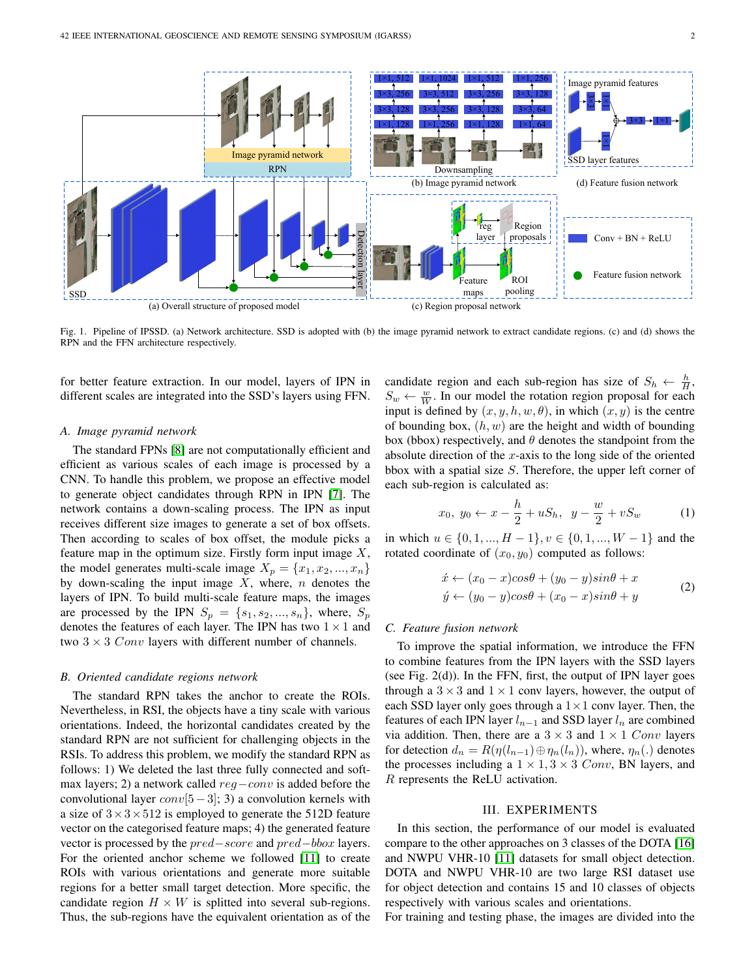

<span id="page-1-0"></span>Fig. 1. Pipeline of IPSSD. (a) Network architecture. SSD is adopted with (b) the image pyramid network to extract candidate regions. (c) and (d) shows the RPN and the FFN architecture respectively.

for better feature extraction. In our model, layers of IPN in different scales are integrated into the SSD's layers using FFN.

# *A. Image pyramid network*

The standard FPNs [\[8\]](#page-3-7) are not computationally efficient and efficient as various scales of each image is processed by a CNN. To handle this problem, we propose an effective model to generate object candidates through RPN in IPN [\[7\]](#page-3-6). The network contains a down-scaling process. The IPN as input receives different size images to generate a set of box offsets. Then according to scales of box offset, the module picks a feature map in the optimum size. Firstly form input image  $X$ , the model generates multi-scale image  $X_p = \{x_1, x_2, ..., x_n\}$ by down-scaling the input image  $X$ , where,  $n$  denotes the layers of IPN. To build multi-scale feature maps, the images are processed by the IPN  $S_p = \{s_1, s_2, ..., s_n\}$ , where,  $S_p$ denotes the features of each layer. The IPN has two  $1 \times 1$  and two  $3 \times 3$  Conv layers with different number of channels.

#### *B. Oriented candidate regions network*

The standard RPN takes the anchor to create the ROIs. Nevertheless, in RSI, the objects have a tiny scale with various orientations. Indeed, the horizontal candidates created by the standard RPN are not sufficient for challenging objects in the RSIs. To address this problem, we modify the standard RPN as follows: 1) We deleted the last three fully connected and softmax layers; 2) a network called  $reg-conv$  is added before the convolutional layer  $conv[5-3]$ ; 3) a convolution kernels with a size of  $3 \times 3 \times 512$  is employed to generate the 512D feature vector on the categorised feature maps; 4) the generated feature vector is processed by the pred−score and pred−bbox layers. For the oriented anchor scheme we followed [\[11\]](#page-3-10) to create ROIs with various orientations and generate more suitable regions for a better small target detection. More specific, the candidate region  $H \times W$  is splitted into several sub-regions. Thus, the sub-regions have the equivalent orientation as of the

candidate region and each sub-region has size of  $S_h \leftarrow \frac{h}{H}$ ,  $S_w \leftarrow \frac{w}{W}$ . In our model the rotation region proposal for each input is defined by  $(x, y, h, w, \theta)$ , in which  $(x, y)$  is the centre of bounding box,  $(h, w)$  are the height and width of bounding box (bbox) respectively, and  $\theta$  denotes the standpoint from the absolute direction of the  $x$ -axis to the long side of the oriented bbox with a spatial size  $S$ . Therefore, the upper left corner of each sub-region is calculated as:

$$
x_0, y_0 \leftarrow x - \frac{h}{2} + uS_h, y - \frac{w}{2} + vS_w
$$
 (1)

in which  $u \in \{0, 1, ..., H - 1\}$ ,  $v \in \{0, 1, ..., W - 1\}$  and the rotated coordinate of  $(x_0, y_0)$  computed as follows:

$$
\begin{aligned} \n\acute{x} \leftarrow (x_0 - x)\cos\theta + (y_0 - y)\sin\theta + x \\ \n\acute{y} \leftarrow (y_0 - y)\cos\theta + (x_0 - x)\sin\theta + y \n\end{aligned} \tag{2}
$$

#### *C. Feature fusion network*

To improve the spatial information, we introduce the FFN to combine features from the IPN layers with the SSD layers (see Fig.  $2(d)$ ). In the FFN, first, the output of IPN layer goes through a  $3 \times 3$  and  $1 \times 1$  conv layers, however, the output of each SSD layer only goes through a  $1 \times 1$  conv layer. Then, the features of each IPN layer  $l_{n-1}$  and SSD layer  $l_n$  are combined via addition. Then, there are a  $3 \times 3$  and  $1 \times 1$  Conv layers for detection  $d_n = R(\eta(l_{n-1}) \oplus \eta_n(l_n))$ , where,  $\eta_n(.)$  denotes the processes including a  $1 \times 1, 3 \times 3$  Conv, BN layers, and R represents the ReLU activation.

# III. EXPERIMENTS

In this section, the performance of our model is evaluated compare to the other approaches on 3 classes of the DOTA [\[16\]](#page-3-15) and NWPU VHR-10 [\[11\]](#page-3-10) datasets for small object detection. DOTA and NWPU VHR-10 are two large RSI dataset use for object detection and contains 15 and 10 classes of objects respectively with various scales and orientations.

For training and testing phase, the images are divided into the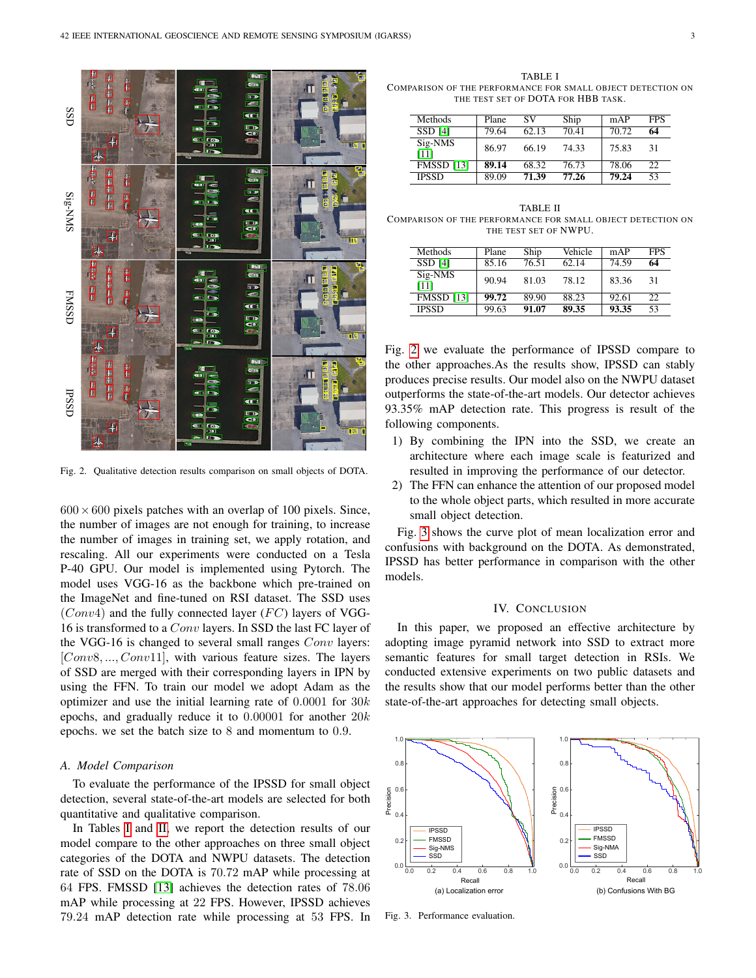

<span id="page-2-2"></span>Fig. 2. Qualitative detection results comparison on small objects of DOTA.

 $600 \times 600$  pixels patches with an overlap of 100 pixels. Since, the number of images are not enough for training, to increase the number of images in training set, we apply rotation, and rescaling. All our experiments were conducted on a Tesla P-40 GPU. Our model is implemented using Pytorch. The model uses VGG-16 as the backbone which pre-trained on the ImageNet and fine-tuned on RSI dataset. The SSD uses  $(Conv4)$  and the fully connected layer  $(FC)$  layers of VGG-16 is transformed to a Conv layers. In SSD the last FC layer of the VGG-16 is changed to several small ranges Conv layers: [Conv8, ..., Conv11], with various feature sizes. The layers of SSD are merged with their corresponding layers in IPN by using the FFN. To train our model we adopt Adam as the optimizer and use the initial learning rate of  $0.0001$  for  $30k$ epochs, and gradually reduce it to  $0.00001$  for another  $20k$ epochs. we set the batch size to 8 and momentum to 0.9.

# *A. Model Comparison*

To evaluate the performance of the IPSSD for small object detection, several state-of-the-art models are selected for both quantitative and qualitative comparison.

In Tables [I](#page-2-0) and [II,](#page-2-1) we report the detection results of our model compare to the other approaches on three small object categories of the DOTA and NWPU datasets. The detection rate of SSD on the DOTA is 70.72 mAP while processing at 64 FPS. FMSSD [\[13\]](#page-3-12) achieves the detection rates of 78.06 mAP while processing at 22 FPS. However, IPSSD achieves 79.24 mAP detection rate while processing at 53 FPS. In

<span id="page-2-0"></span>TABLE I COMPARISON OF THE PERFORMANCE FOR SMALL OBJECT DETECTION ON THE TEST SET OF DOTA FOR HBB TASK.

| Methods           | Plane | SV    | Ship  | mAP   | <b>FPS</b> |
|-------------------|-------|-------|-------|-------|------------|
| SSD [4]           | 79.64 | 62.13 | 70.41 | 70.72 | 64         |
| Sig-NMS<br>[11]   | 86.97 | 66.19 | 74.33 | 75.83 | 31         |
| <b>FMSSD</b> [13] | 89.14 | 68.32 | 76.73 | 78.06 | 22         |
| <b>IPSSD</b>      | 89.09 | 71.39 | 77.26 | 79.24 | 53         |

<span id="page-2-1"></span>TABLE II COMPARISON OF THE PERFORMANCE FOR SMALL OBJECT DETECTION ON THE TEST SET OF NWPU.

| Methods           | Plane | Ship  | Vehicle | mAP   | <b>FPS</b> |
|-------------------|-------|-------|---------|-------|------------|
| SSD [4]           | 85.16 | 76.51 | 62.14   | 74.59 | 64         |
| Sig-NMS<br>[11]   | 90.94 | 81.03 | 78.12   | 83.36 | 31         |
| <b>FMSSD</b> [13] | 99.72 | 89.90 | 88.23   | 92.61 | 22         |
| <b>IPSSD</b>      | 99.63 | 91.07 | 89.35   | 93.35 | 53         |

Fig. [2](#page-2-2) we evaluate the performance of IPSSD compare to the other approaches.As the results show, IPSSD can stably produces precise results. Our model also on the NWPU dataset outperforms the state-of-the-art models. Our detector achieves 93.35% mAP detection rate. This progress is result of the following components.

- 1) By combining the IPN into the SSD, we create an architecture where each image scale is featurized and resulted in improving the performance of our detector.
- 2) The FFN can enhance the attention of our proposed model to the whole object parts, which resulted in more accurate small object detection.

Fig. [3](#page-2-3) shows the curve plot of mean localization error and confusions with background on the DOTA. As demonstrated, IPSSD has better performance in comparison with the other models.

#### IV. CONCLUSION

In this paper, we proposed an effective architecture by adopting image pyramid network into SSD to extract more semantic features for small target detection in RSIs. We conducted extensive experiments on two public datasets and the results show that our model performs better than the other state-of-the-art approaches for detecting small objects.



<span id="page-2-3"></span>Fig. 3. Performance evaluation.